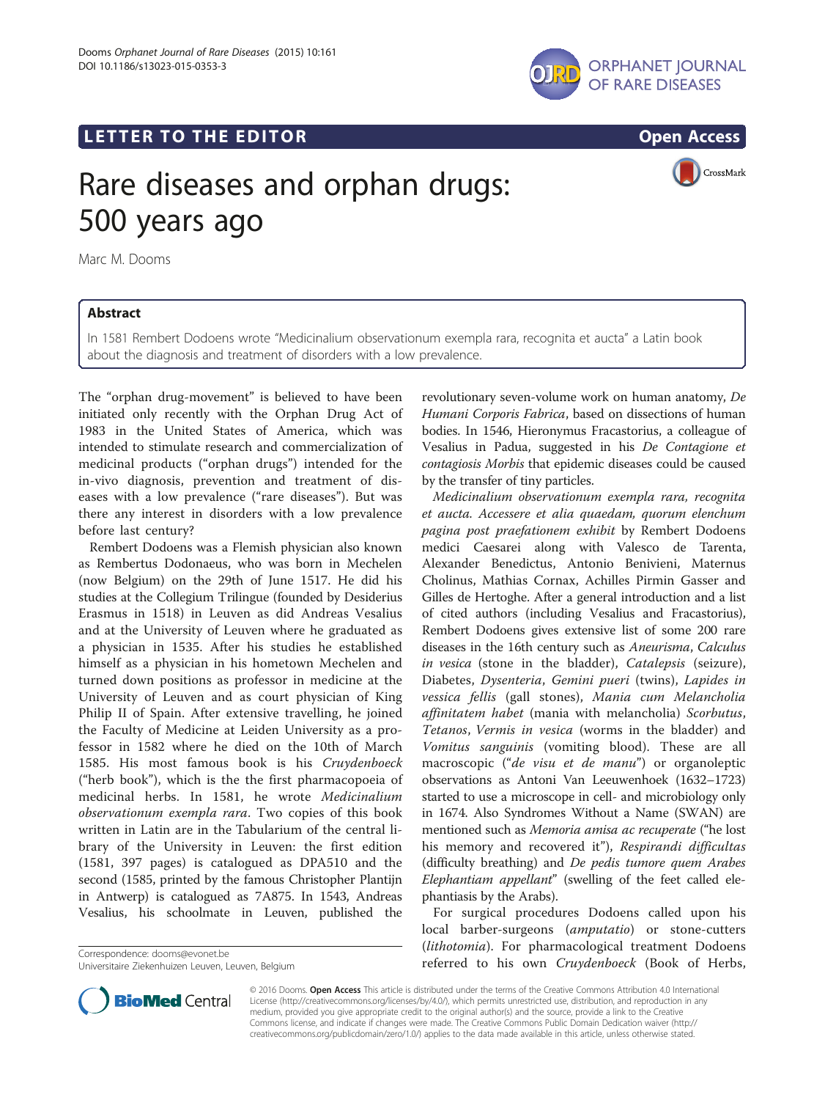

LETTER TO THE EDITOR **CONSIDERING THE EDITOR** CONSIDERING THE STATE AND THE STATE ASSAULT THE STATE AND THE STATE ASSAULT THE STATE AND THE STATE AND THE STATE AND THE STATE AND THE STATE AND THE STATE AND THE STATE AND TH



CrossMark

# Rare diseases and orphan drugs: 500 years ago

Marc M. Dooms

## Abstract

In 1581 Rembert Dodoens wrote "Medicinalium observationum exempla rara, recognita et aucta" a Latin book about the diagnosis and treatment of disorders with a low prevalence.

The "orphan drug-movement" is believed to have been initiated only recently with the Orphan Drug Act of 1983 in the United States of America, which was intended to stimulate research and commercialization of medicinal products ("orphan drugs") intended for the in-vivo diagnosis, prevention and treatment of diseases with a low prevalence ("rare diseases"). But was there any interest in disorders with a low prevalence before last century?

Rembert Dodoens was a Flemish physician also known as Rembertus Dodonaeus, who was born in Mechelen (now Belgium) on the 29th of June 1517. He did his studies at the Collegium Trilingue (founded by Desiderius Erasmus in 1518) in Leuven as did Andreas Vesalius and at the University of Leuven where he graduated as a physician in 1535. After his studies he established himself as a physician in his hometown Mechelen and turned down positions as professor in medicine at the University of Leuven and as court physician of King Philip II of Spain. After extensive travelling, he joined the Faculty of Medicine at Leiden University as a professor in 1582 where he died on the 10th of March 1585. His most famous book is his Cruydenboeck ("herb book"), which is the the first pharmacopoeia of medicinal herbs. In 1581, he wrote Medicinalium observationum exempla rara. Two copies of this book written in Latin are in the Tabularium of the central library of the University in Leuven: the first edition (1581, 397 pages) is catalogued as DPA510 and the second (1585, printed by the famous Christopher Plantijn in Antwerp) is catalogued as 7A875. In 1543, Andreas Vesalius, his schoolmate in Leuven, published the

Universitaire Ziekenhuizen Leuven, Leuven, Belgium



(difficulty breathing) and De pedis tumore quem Arabes Elephantiam appellant" (swelling of the feet called elephantiasis by the Arabs).

revolutionary seven-volume work on human anatomy, De Humani Corporis Fabrica, based on dissections of human bodies. In 1546, Hieronymus Fracastorius, a colleague of Vesalius in Padua, suggested in his De Contagione et contagiosis Morbis that epidemic diseases could be caused

Medicinalium observationum exempla rara, recognita et aucta. Accessere et alia quaedam, quorum elenchum pagina post praefationem exhibit by Rembert Dodoens medici Caesarei along with Valesco de Tarenta, Alexander Benedictus, Antonio Benivieni, Maternus Cholinus, Mathias Cornax, Achilles Pirmin Gasser and Gilles de Hertoghe. After a general introduction and a list of cited authors (including Vesalius and Fracastorius), Rembert Dodoens gives extensive list of some 200 rare diseases in the 16th century such as Aneurisma, Calculus in vesica (stone in the bladder), Catalepsis (seizure), Diabetes, Dysenteria, Gemini pueri (twins), Lapides in vessica fellis (gall stones), Mania cum Melancholia affinitatem habet (mania with melancholia) Scorbutus, Tetanos, Vermis in vesica (worms in the bladder) and Vomitus sanguinis (vomiting blood). These are all

by the transfer of tiny particles.

For surgical procedures Dodoens called upon his local barber-surgeons (amputatio) or stone-cutters (lithotomia). For pharmacological treatment Dodoens Correspondence: [dooms@evonet.be](mailto:dooms@evonet.be)<br>Universitaire Ziekenhuizen Leuven, Belgium entity of the correspondence of the correspondence: dook of Herbs,



© 2016 Dooms. Open Access This article is distributed under the terms of the Creative Commons Attribution 4.0 International License ([http://creativecommons.org/licenses/by/4.0/\)](http://creativecommons.org/licenses/by/4.0/), which permits unrestricted use, distribution, and reproduction in any medium, provided you give appropriate credit to the original author(s) and the source, provide a link to the Creative Commons license, and indicate if changes were made. The Creative Commons Public Domain Dedication waiver ([http://](http://creativecommons.org/publicdomain/zero/1.0/) [creativecommons.org/publicdomain/zero/1.0/\)](http://creativecommons.org/publicdomain/zero/1.0/) applies to the data made available in this article, unless otherwise stated.